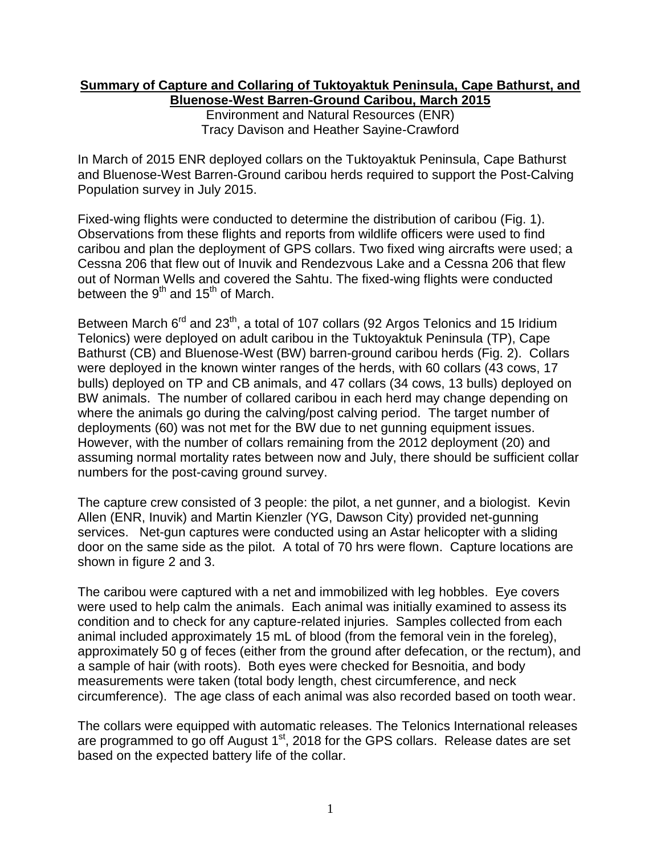## **Summary of Capture and Collaring of Tuktoyaktuk Peninsula, Cape Bathurst, and Bluenose-West Barren-Ground Caribou, March 2015**

Environment and Natural Resources (ENR) Tracy Davison and Heather Sayine-Crawford

In March of 2015 ENR deployed collars on the Tuktoyaktuk Peninsula, Cape Bathurst and Bluenose-West Barren-Ground caribou herds required to support the Post-Calving Population survey in July 2015.

Fixed-wing flights were conducted to determine the distribution of caribou (Fig. 1). Observations from these flights and reports from wildlife officers were used to find caribou and plan the deployment of GPS collars. Two fixed wing aircrafts were used; a Cessna 206 that flew out of Inuvik and Rendezvous Lake and a Cessna 206 that flew out of Norman Wells and covered the Sahtu. The fixed-wing flights were conducted between the  $9^{\text{th}}$  and 15<sup>th</sup> of March.

Between March 6<sup>rd</sup> and 23<sup>th</sup>, a total of 107 collars (92 Argos Telonics and 15 Iridium Telonics) were deployed on adult caribou in the Tuktoyaktuk Peninsula (TP), Cape Bathurst (CB) and Bluenose-West (BW) barren-ground caribou herds (Fig. 2). Collars were deployed in the known winter ranges of the herds, with 60 collars (43 cows, 17 bulls) deployed on TP and CB animals, and 47 collars (34 cows, 13 bulls) deployed on BW animals. The number of collared caribou in each herd may change depending on where the animals go during the calving/post calving period. The target number of deployments (60) was not met for the BW due to net gunning equipment issues. However, with the number of collars remaining from the 2012 deployment (20) and assuming normal mortality rates between now and July, there should be sufficient collar numbers for the post-caving ground survey.

The capture crew consisted of 3 people: the pilot, a net gunner, and a biologist. Kevin Allen (ENR, Inuvik) and Martin Kienzler (YG, Dawson City) provided net-gunning services. Net-gun captures were conducted using an Astar helicopter with a sliding door on the same side as the pilot. A total of 70 hrs were flown. Capture locations are shown in figure 2 and 3.

The caribou were captured with a net and immobilized with leg hobbles. Eye covers were used to help calm the animals. Each animal was initially examined to assess its condition and to check for any capture-related injuries. Samples collected from each animal included approximately 15 mL of blood (from the femoral vein in the foreleg), approximately 50 g of feces (either from the ground after defecation, or the rectum), and a sample of hair (with roots). Both eyes were checked for Besnoitia, and body measurements were taken (total body length, chest circumference, and neck circumference). The age class of each animal was also recorded based on tooth wear.

The collars were equipped with automatic releases. The Telonics International releases are programmed to go off August  $1<sup>st</sup>$ , 2018 for the GPS collars. Release dates are set based on the expected battery life of the collar.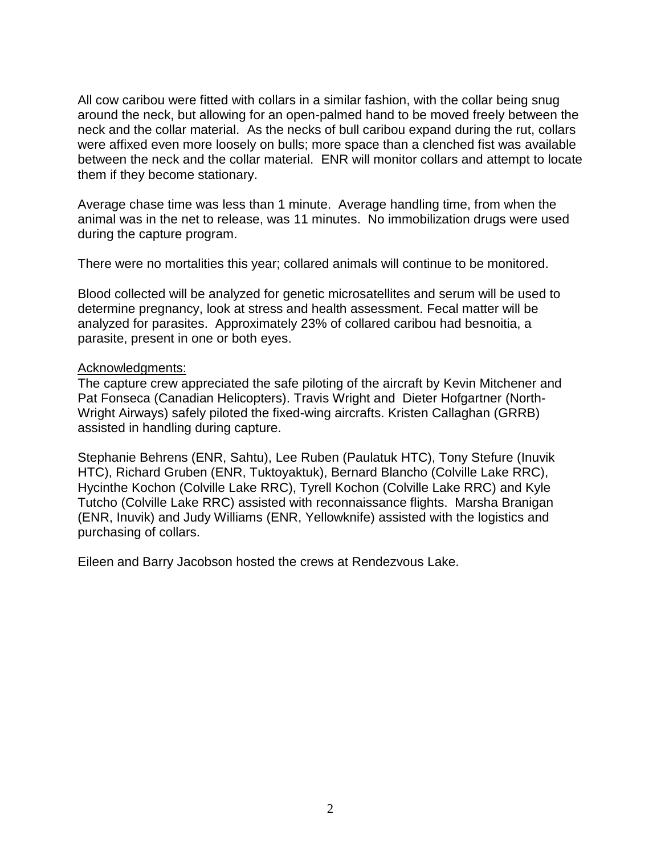All cow caribou were fitted with collars in a similar fashion, with the collar being snug around the neck, but allowing for an open-palmed hand to be moved freely between the neck and the collar material. As the necks of bull caribou expand during the rut, collars were affixed even more loosely on bulls; more space than a clenched fist was available between the neck and the collar material. ENR will monitor collars and attempt to locate them if they become stationary.

Average chase time was less than 1 minute. Average handling time, from when the animal was in the net to release, was 11 minutes. No immobilization drugs were used during the capture program.

There were no mortalities this year; collared animals will continue to be monitored.

Blood collected will be analyzed for genetic microsatellites and serum will be used to determine pregnancy, look at stress and health assessment. Fecal matter will be analyzed for parasites. Approximately 23% of collared caribou had besnoitia, a parasite, present in one or both eyes.

## Acknowledgments:

The capture crew appreciated the safe piloting of the aircraft by Kevin Mitchener and Pat Fonseca (Canadian Helicopters). Travis Wright and Dieter Hofgartner (North-Wright Airways) safely piloted the fixed-wing aircrafts. Kristen Callaghan (GRRB) assisted in handling during capture.

Stephanie Behrens (ENR, Sahtu), Lee Ruben (Paulatuk HTC), Tony Stefure (Inuvik HTC), Richard Gruben (ENR, Tuktoyaktuk), Bernard Blancho (Colville Lake RRC), Hycinthe Kochon (Colville Lake RRC), Tyrell Kochon (Colville Lake RRC) and Kyle Tutcho (Colville Lake RRC) assisted with reconnaissance flights. Marsha Branigan (ENR, Inuvik) and Judy Williams (ENR, Yellowknife) assisted with the logistics and purchasing of collars.

Eileen and Barry Jacobson hosted the crews at Rendezvous Lake.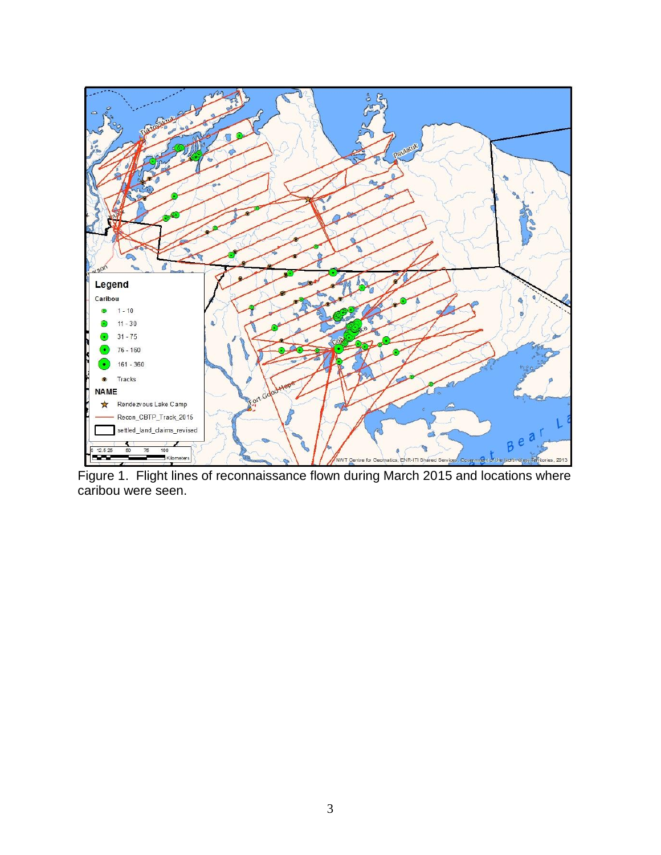

Figure 1. Flight lines of reconnaissance flown during March 2015 and locations where caribou were seen.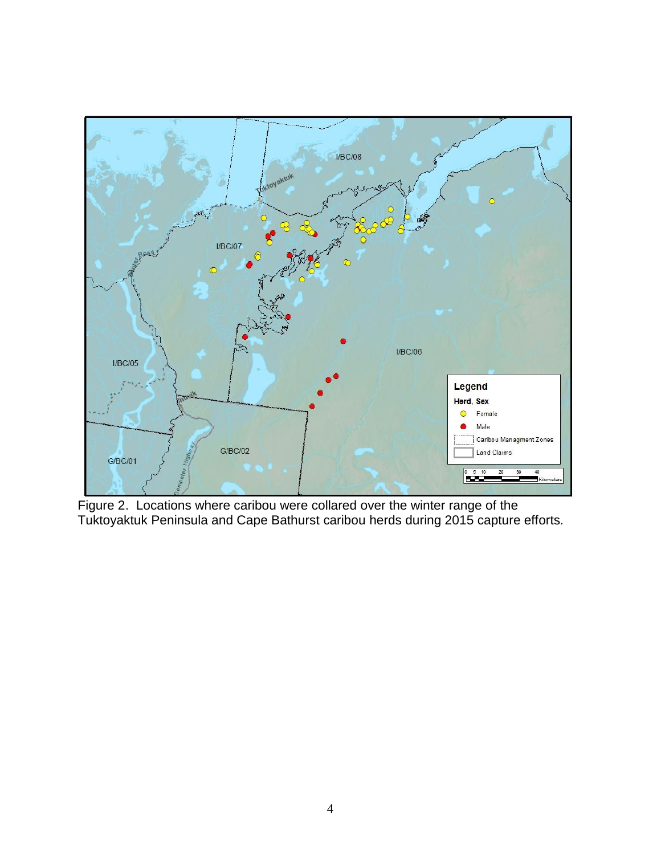

Figure 2. Locations where caribou were collared over the winter range of the Tuktoyaktuk Peninsula and Cape Bathurst caribou herds during 2015 capture efforts.